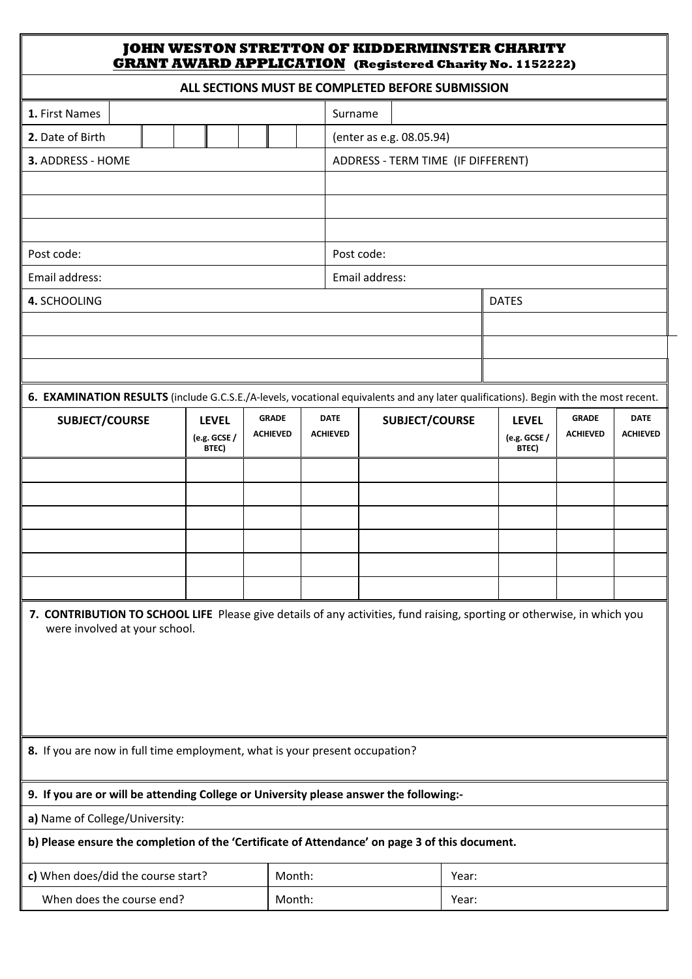## **JOHN WESTON STRETTON OF KIDDERMINSTER CHARITY GRANT AWARD APPLICATION (Registered Charity No. 1152222) ALL SECTIONS MUST BE COMPLETED BEFORE SUBMISSION 1.** First Names Surname **2.** Date of Birth  $\|\cdot\|$   $\|\cdot\|$   $\|\cdot\|$  (enter as e.g. 08.05.94) **3.** ADDRESS - HOME ADDRESS - TERM TIME (IF DIFFERENT)

| 8. If you are now in full time employment, what is your present occupation? |  |
|-----------------------------------------------------------------------------|--|
|                                                                             |  |

Post code:  $\qquad \qquad$  Post code:

**SUBJECT/COURSE LEVEL**

Email address: Email address:

**(e.g. GCSE / BTEC)**

**4.** SCHOOLING **DATES** 

**GRADE ACHIEVED**

## **9.** If you are or will be attending College or University please answer the following:-

a) Name of College/University:

were involved at your school.

b) Please ensure the completion of the 'Certificate of Attendance' on page 3 of this document.

EXECTED BY THE CONTROL CONTROL CONTROL CONTROL CONTROL CONTROL CONTROL CONTROL CONTROL CONTROL CONTROL CONTROL CONTROL CONTROL CONTROL CONTROL CONTROL CONTROL CONTROL CONTROL CONTROL CONTROL CONTROL CONTROL CONTROL CONTROL

**6. EXAMINATION RESULTS** (include G.C.S.E./A-levels, vocational equivalents and any later qualifications). Begin with the most recent.

**SUBJECT/COURSE LEVEL**

**(e.g. GCSE / BTEC)**

**GRADE ACHIEVED**

**DATE ACHIEVED**

**DATE ACHIEVED**

**7. CONTRIBUTION TO SCHOOL LIFE** Please give details of any activities, fund raising, sporting or otherwise, in which you

| $\parallel$ c) When does/did the course start? | Month: | Year  |
|------------------------------------------------|--------|-------|
| When does the course end?                      | Month: | Year: |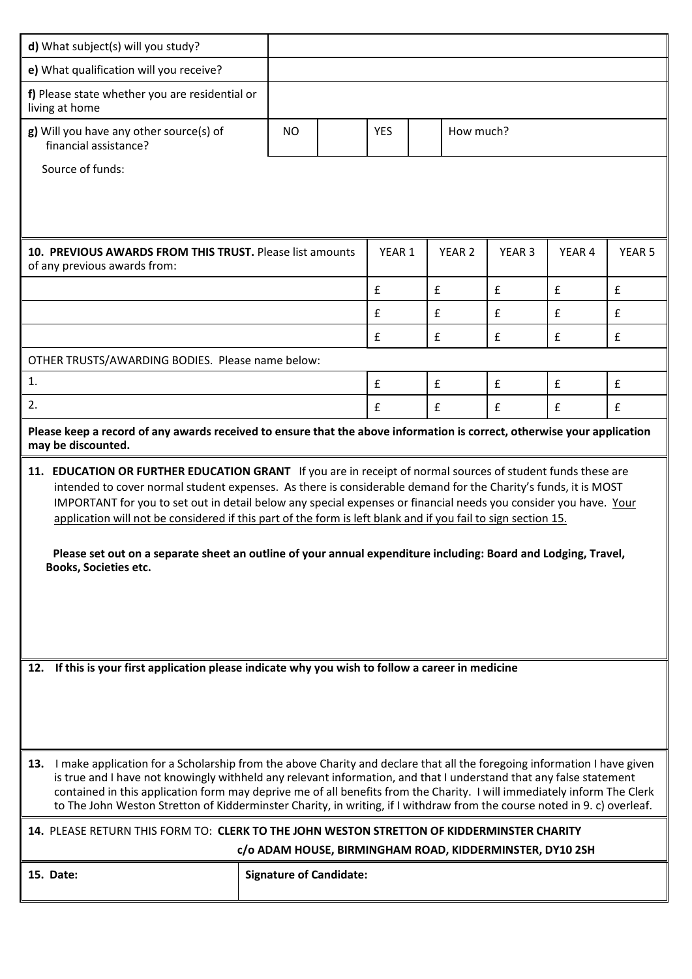| e) What qualification will you receive?<br>f) Please state whether you are residential or<br>living at home<br>g) Will you have any other source(s) of<br>How much?<br><b>NO</b><br><b>YES</b><br>financial assistance?<br>Source of funds:<br>10. PREVIOUS AWARDS FROM THIS TRUST. Please list amounts<br>YEAR 1<br>YEAR <sub>2</sub><br>YEAR <sub>3</sub><br>YEAR 4<br>YEAR <sub>5</sub><br>of any previous awards from:<br>$\pmb{\mathsf{f}}$<br>£<br>$\mathbf f$<br>£<br>$\pmb{\mathsf{f}}$<br>£<br>£<br>$\pmb{\mathsf{f}}$<br>$\pmb{\mathsf{f}}$<br>£<br>£<br>£<br>£<br>£<br>£<br>OTHER TRUSTS/AWARDING BODIES. Please name below:<br>1.<br>$\pmb{\mathsf{f}}$<br>£<br>$\pmb{\mathsf{f}}$<br>£<br>£<br>2.<br>£<br>$\pmb{\mathsf{f}}$<br>$\mathbf f$<br>£<br>£<br>Please keep a record of any awards received to ensure that the above information is correct, otherwise your application<br>may be discounted.<br>11. EDUCATION OR FURTHER EDUCATION GRANT If you are in receipt of normal sources of student funds these are<br>intended to cover normal student expenses. As there is considerable demand for the Charity's funds, it is MOST<br>IMPORTANT for you to set out in detail below any special expenses or financial needs you consider you have. Your<br>application will not be considered if this part of the form is left blank and if you fail to sign section 15.<br>Please set out on a separate sheet an outline of your annual expenditure including: Board and Lodging, Travel,<br><b>Books, Societies etc.</b><br>If this is your first application please indicate why you wish to follow a career in medicine<br>12.<br>13. I make application for a Scholarship from the above Charity and declare that all the foregoing information I have given<br>is true and I have not knowingly withheld any relevant information, and that I understand that any false statement<br>contained in this application form may deprive me of all benefits from the Charity. I will immediately inform The Clerk<br>to The John Weston Stretton of Kidderminster Charity, in writing, if I withdraw from the course noted in 9. c) overleaf.<br>14. PLEASE RETURN THIS FORM TO: CLERK TO THE JOHN WESTON STRETTON OF KIDDERMINSTER CHARITY<br>c/o ADAM HOUSE, BIRMINGHAM ROAD, KIDDERMINSTER, DY10 2SH | d) What subject(s) will you study? |  |  |  |  |  |  |  |  |  |
|---------------------------------------------------------------------------------------------------------------------------------------------------------------------------------------------------------------------------------------------------------------------------------------------------------------------------------------------------------------------------------------------------------------------------------------------------------------------------------------------------------------------------------------------------------------------------------------------------------------------------------------------------------------------------------------------------------------------------------------------------------------------------------------------------------------------------------------------------------------------------------------------------------------------------------------------------------------------------------------------------------------------------------------------------------------------------------------------------------------------------------------------------------------------------------------------------------------------------------------------------------------------------------------------------------------------------------------------------------------------------------------------------------------------------------------------------------------------------------------------------------------------------------------------------------------------------------------------------------------------------------------------------------------------------------------------------------------------------------------------------------------------------------------------------------------------------------------------------------------------------------------------------------------------------------------------------------------------------------------------------------------------------------------------------------------------------------------------------------------------------------------------------------------------------------------------------------------------------------------------------------------------------------------------------------------------------|------------------------------------|--|--|--|--|--|--|--|--|--|
|                                                                                                                                                                                                                                                                                                                                                                                                                                                                                                                                                                                                                                                                                                                                                                                                                                                                                                                                                                                                                                                                                                                                                                                                                                                                                                                                                                                                                                                                                                                                                                                                                                                                                                                                                                                                                                                                                                                                                                                                                                                                                                                                                                                                                                                                                                                           |                                    |  |  |  |  |  |  |  |  |  |
|                                                                                                                                                                                                                                                                                                                                                                                                                                                                                                                                                                                                                                                                                                                                                                                                                                                                                                                                                                                                                                                                                                                                                                                                                                                                                                                                                                                                                                                                                                                                                                                                                                                                                                                                                                                                                                                                                                                                                                                                                                                                                                                                                                                                                                                                                                                           |                                    |  |  |  |  |  |  |  |  |  |
|                                                                                                                                                                                                                                                                                                                                                                                                                                                                                                                                                                                                                                                                                                                                                                                                                                                                                                                                                                                                                                                                                                                                                                                                                                                                                                                                                                                                                                                                                                                                                                                                                                                                                                                                                                                                                                                                                                                                                                                                                                                                                                                                                                                                                                                                                                                           |                                    |  |  |  |  |  |  |  |  |  |
|                                                                                                                                                                                                                                                                                                                                                                                                                                                                                                                                                                                                                                                                                                                                                                                                                                                                                                                                                                                                                                                                                                                                                                                                                                                                                                                                                                                                                                                                                                                                                                                                                                                                                                                                                                                                                                                                                                                                                                                                                                                                                                                                                                                                                                                                                                                           |                                    |  |  |  |  |  |  |  |  |  |
|                                                                                                                                                                                                                                                                                                                                                                                                                                                                                                                                                                                                                                                                                                                                                                                                                                                                                                                                                                                                                                                                                                                                                                                                                                                                                                                                                                                                                                                                                                                                                                                                                                                                                                                                                                                                                                                                                                                                                                                                                                                                                                                                                                                                                                                                                                                           |                                    |  |  |  |  |  |  |  |  |  |
|                                                                                                                                                                                                                                                                                                                                                                                                                                                                                                                                                                                                                                                                                                                                                                                                                                                                                                                                                                                                                                                                                                                                                                                                                                                                                                                                                                                                                                                                                                                                                                                                                                                                                                                                                                                                                                                                                                                                                                                                                                                                                                                                                                                                                                                                                                                           |                                    |  |  |  |  |  |  |  |  |  |
|                                                                                                                                                                                                                                                                                                                                                                                                                                                                                                                                                                                                                                                                                                                                                                                                                                                                                                                                                                                                                                                                                                                                                                                                                                                                                                                                                                                                                                                                                                                                                                                                                                                                                                                                                                                                                                                                                                                                                                                                                                                                                                                                                                                                                                                                                                                           |                                    |  |  |  |  |  |  |  |  |  |
|                                                                                                                                                                                                                                                                                                                                                                                                                                                                                                                                                                                                                                                                                                                                                                                                                                                                                                                                                                                                                                                                                                                                                                                                                                                                                                                                                                                                                                                                                                                                                                                                                                                                                                                                                                                                                                                                                                                                                                                                                                                                                                                                                                                                                                                                                                                           |                                    |  |  |  |  |  |  |  |  |  |
|                                                                                                                                                                                                                                                                                                                                                                                                                                                                                                                                                                                                                                                                                                                                                                                                                                                                                                                                                                                                                                                                                                                                                                                                                                                                                                                                                                                                                                                                                                                                                                                                                                                                                                                                                                                                                                                                                                                                                                                                                                                                                                                                                                                                                                                                                                                           |                                    |  |  |  |  |  |  |  |  |  |
|                                                                                                                                                                                                                                                                                                                                                                                                                                                                                                                                                                                                                                                                                                                                                                                                                                                                                                                                                                                                                                                                                                                                                                                                                                                                                                                                                                                                                                                                                                                                                                                                                                                                                                                                                                                                                                                                                                                                                                                                                                                                                                                                                                                                                                                                                                                           |                                    |  |  |  |  |  |  |  |  |  |
|                                                                                                                                                                                                                                                                                                                                                                                                                                                                                                                                                                                                                                                                                                                                                                                                                                                                                                                                                                                                                                                                                                                                                                                                                                                                                                                                                                                                                                                                                                                                                                                                                                                                                                                                                                                                                                                                                                                                                                                                                                                                                                                                                                                                                                                                                                                           |                                    |  |  |  |  |  |  |  |  |  |
|                                                                                                                                                                                                                                                                                                                                                                                                                                                                                                                                                                                                                                                                                                                                                                                                                                                                                                                                                                                                                                                                                                                                                                                                                                                                                                                                                                                                                                                                                                                                                                                                                                                                                                                                                                                                                                                                                                                                                                                                                                                                                                                                                                                                                                                                                                                           |                                    |  |  |  |  |  |  |  |  |  |
|                                                                                                                                                                                                                                                                                                                                                                                                                                                                                                                                                                                                                                                                                                                                                                                                                                                                                                                                                                                                                                                                                                                                                                                                                                                                                                                                                                                                                                                                                                                                                                                                                                                                                                                                                                                                                                                                                                                                                                                                                                                                                                                                                                                                                                                                                                                           |                                    |  |  |  |  |  |  |  |  |  |
|                                                                                                                                                                                                                                                                                                                                                                                                                                                                                                                                                                                                                                                                                                                                                                                                                                                                                                                                                                                                                                                                                                                                                                                                                                                                                                                                                                                                                                                                                                                                                                                                                                                                                                                                                                                                                                                                                                                                                                                                                                                                                                                                                                                                                                                                                                                           |                                    |  |  |  |  |  |  |  |  |  |
|                                                                                                                                                                                                                                                                                                                                                                                                                                                                                                                                                                                                                                                                                                                                                                                                                                                                                                                                                                                                                                                                                                                                                                                                                                                                                                                                                                                                                                                                                                                                                                                                                                                                                                                                                                                                                                                                                                                                                                                                                                                                                                                                                                                                                                                                                                                           |                                    |  |  |  |  |  |  |  |  |  |
|                                                                                                                                                                                                                                                                                                                                                                                                                                                                                                                                                                                                                                                                                                                                                                                                                                                                                                                                                                                                                                                                                                                                                                                                                                                                                                                                                                                                                                                                                                                                                                                                                                                                                                                                                                                                                                                                                                                                                                                                                                                                                                                                                                                                                                                                                                                           |                                    |  |  |  |  |  |  |  |  |  |
|                                                                                                                                                                                                                                                                                                                                                                                                                                                                                                                                                                                                                                                                                                                                                                                                                                                                                                                                                                                                                                                                                                                                                                                                                                                                                                                                                                                                                                                                                                                                                                                                                                                                                                                                                                                                                                                                                                                                                                                                                                                                                                                                                                                                                                                                                                                           |                                    |  |  |  |  |  |  |  |  |  |
| 15. Date:<br><b>Signature of Candidate:</b>                                                                                                                                                                                                                                                                                                                                                                                                                                                                                                                                                                                                                                                                                                                                                                                                                                                                                                                                                                                                                                                                                                                                                                                                                                                                                                                                                                                                                                                                                                                                                                                                                                                                                                                                                                                                                                                                                                                                                                                                                                                                                                                                                                                                                                                                               |                                    |  |  |  |  |  |  |  |  |  |